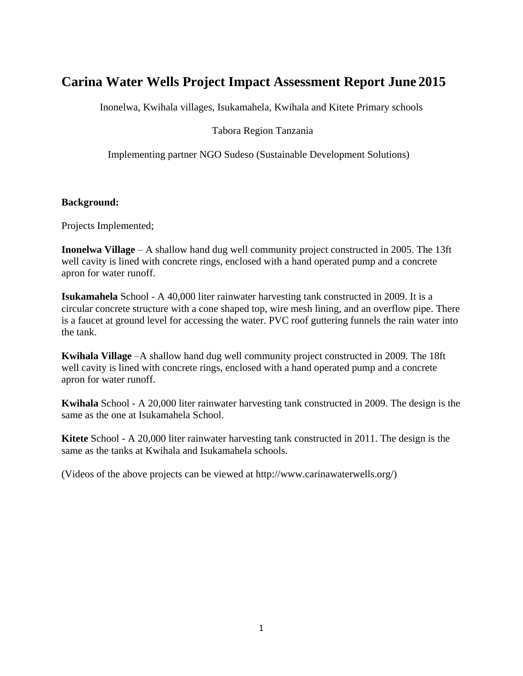# **Carina Water Wells Project Impact Assessment Report June 2015**

Inonelwa, Kwihala villages, Isukamahela, Kwihala and Kitete Primary schools

## Tabora Region Tanzania

Implementing partner NGO Sudeso (Sustainable Development Solutions)

### **Background:**

Projects Implemented;

**Inonelwa Village** – A shallow hand dug well community project constructed in 2005. The 13ft well cavity is lined with concrete rings, enclosed with a hand operated pump and a concrete apron for water runoff.

**Isukamahela** School - A 40,000 liter rainwater harvesting tank constructed in 2009. It is a circular concrete structure with a cone shaped top, wire mesh lining, and an overflow pipe. There is a faucet at ground level for accessing the water. PVC roof guttering funnels the rain water into the tank.

**Kwihala Village** –A shallow hand dug well community project constructed in 2009. The 18ft well cavity is lined with concrete rings, enclosed with a hand operated pump and a concrete apron for water runoff.

**Kwihala** School - A 20,000 liter rainwater harvesting tank constructed in 2009. The design is the same as the one at Isukamahela School.

**Kitete** School - A 20,000 liter rainwater harvesting tank constructed in 2011. The design is the same as the tanks at Kwihala and Isukamahela schools.

(Videos of the above projects can be viewed at http://www.carinawaterwells.org/)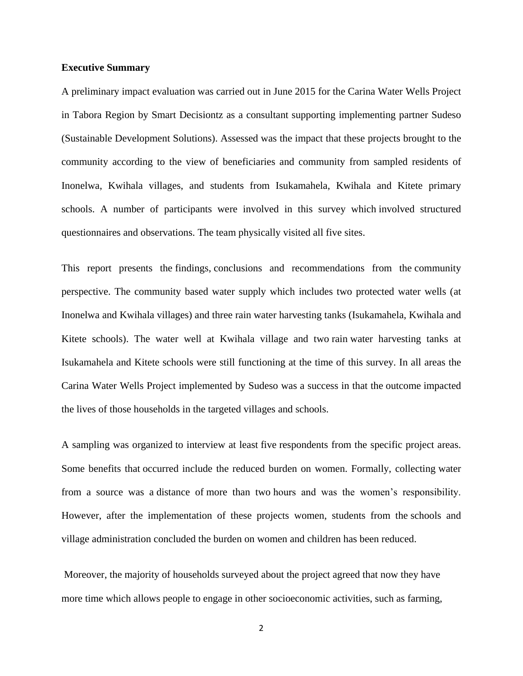#### **Executive Summary**

A preliminary impact evaluation was carried out in June 2015 for the Carina Water Wells Project in Tabora Region by Smart Decisiontz as a consultant supporting implementing partner Sudeso (Sustainable Development Solutions). Assessed was the impact that these projects brought to the community according to the view of beneficiaries and community from sampled residents of Inonelwa, Kwihala villages, and students from Isukamahela, Kwihala and Kitete primary schools. A number of participants were involved in this survey which involved structured questionnaires and observations. The team physically visited all five sites.

This report presents the findings, conclusions and recommendations from the community perspective. The community based water supply which includes two protected water wells (at Inonelwa and Kwihala villages) and three rain water harvesting tanks (Isukamahela, Kwihala and Kitete schools). The water well at Kwihala village and two rain water harvesting tanks at Isukamahela and Kitete schools were still functioning at the time of this survey. In all areas the Carina Water Wells Project implemented by Sudeso was a success in that the outcome impacted the lives of those households in the targeted villages and schools.

A sampling was organized to interview at least five respondents from the specific project areas. Some benefits that occurred include the reduced burden on women. Formally, collecting water from a source was a distance of more than two hours and was the women's responsibility. However, after the implementation of these projects women, students from the schools and village administration concluded the burden on women and children has been reduced.

Moreover, the majority of households surveyed about the project agreed that now they have more time which allows people to engage in other socioeconomic activities, such as farming,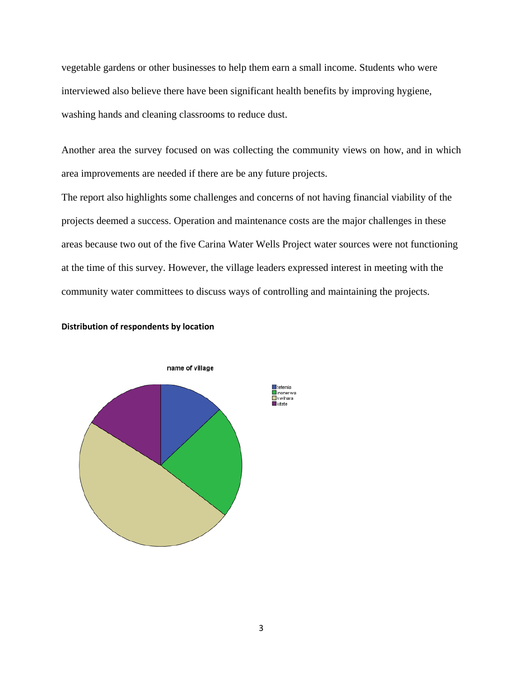vegetable gardens or other businesses to help them earn a small income. Students who were interviewed also believe there have been significant health benefits by improving hygiene, washing hands and cleaning classrooms to reduce dust.

Another area the survey focused on was collecting the community views on how, and in which area improvements are needed if there are be any future projects.

The report also highlights some challenges and concerns of not having financial viability of the projects deemed a success. Operation and maintenance costs are the major challenges in these areas because two out of the five Carina Water Wells Project water sources were not functioning at the time of this survey. However, the village leaders expressed interest in meeting with the community water committees to discuss ways of controlling and maintaining the projects.





#### 3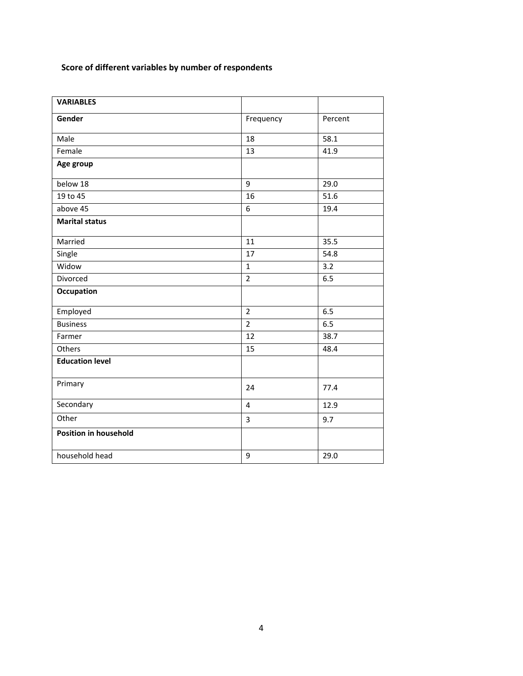# **Score of different variables by number of respondents**

| <b>VARIABLES</b>             |                         |         |
|------------------------------|-------------------------|---------|
| Gender                       | Frequency               | Percent |
| Male                         | 18                      | 58.1    |
| Female                       | 13                      | 41.9    |
| Age group                    |                         |         |
| below 18                     | 9                       | 29.0    |
| 19 to 45                     | 16                      | 51.6    |
| above 45                     | 6                       | 19.4    |
| <b>Marital status</b>        |                         |         |
| Married                      | 11                      | 35.5    |
| Single                       | 17                      | 54.8    |
| Widow                        | $\mathbf{1}$            | 3.2     |
| Divorced                     | $\overline{2}$          | 6.5     |
| Occupation                   |                         |         |
| Employed                     | $\overline{2}$          | 6.5     |
| <b>Business</b>              | $\overline{2}$          | 6.5     |
| Farmer                       | 12                      | 38.7    |
| Others                       | 15                      | 48.4    |
| <b>Education level</b>       |                         |         |
| Primary                      | 24                      | 77.4    |
| Secondary                    | $\overline{\mathbf{4}}$ | 12.9    |
| Other                        | 3                       | 9.7     |
| <b>Position in household</b> |                         |         |
| household head               | 9                       | 29.0    |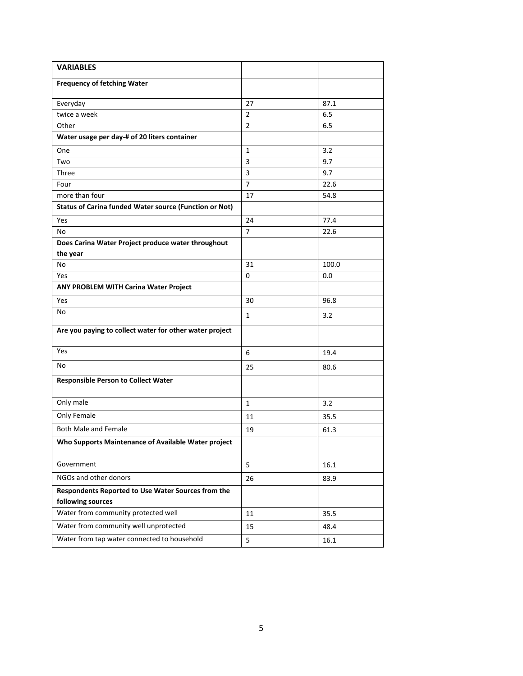| <b>VARIABLES</b>                                                        |                |       |
|-------------------------------------------------------------------------|----------------|-------|
| <b>Frequency of fetching Water</b>                                      |                |       |
| Everyday                                                                | 27             | 87.1  |
| twice a week                                                            | $\overline{2}$ | 6.5   |
| Other                                                                   | $\overline{2}$ | 6.5   |
| Water usage per day-# of 20 liters container                            |                |       |
| One                                                                     | $\mathbf{1}$   | 3.2   |
| Two                                                                     | 3              | 9.7   |
| Three                                                                   | 3              | 9.7   |
| Four                                                                    | $\overline{7}$ | 22.6  |
| more than four                                                          | 17             | 54.8  |
| <b>Status of Carina funded Water source (Function or Not)</b>           |                |       |
| Yes                                                                     | 24             | 77.4  |
| No                                                                      | $\overline{7}$ | 22.6  |
| Does Carina Water Project produce water throughout                      |                |       |
| the year                                                                |                |       |
| No                                                                      | 31             | 100.0 |
| <b>Yes</b>                                                              | $\mathbf 0$    | 0.0   |
| <b>ANY PROBLEM WITH Carina Water Project</b>                            |                |       |
| Yes                                                                     | 30             | 96.8  |
| No                                                                      | $\mathbf{1}$   | 3.2   |
| Are you paying to collect water for other water project                 |                |       |
| Yes                                                                     | 6              | 19.4  |
| No                                                                      | 25             | 80.6  |
| <b>Responsible Person to Collect Water</b>                              |                |       |
| Only male                                                               | $\mathbf{1}$   | 3.2   |
| Only Female                                                             | 11             | 35.5  |
| <b>Both Male and Female</b>                                             | 19             | 61.3  |
| Who Supports Maintenance of Available Water project                     |                |       |
| Government                                                              | 5              | 16.1  |
| NGOs and other donors                                                   | 26             | 83.9  |
| Respondents Reported to Use Water Sources from the<br>following sources |                |       |
| Water from community protected well                                     | 11             | 35.5  |
| Water from community well unprotected                                   | 15             | 48.4  |
| Water from tap water connected to household                             | 5              | 16.1  |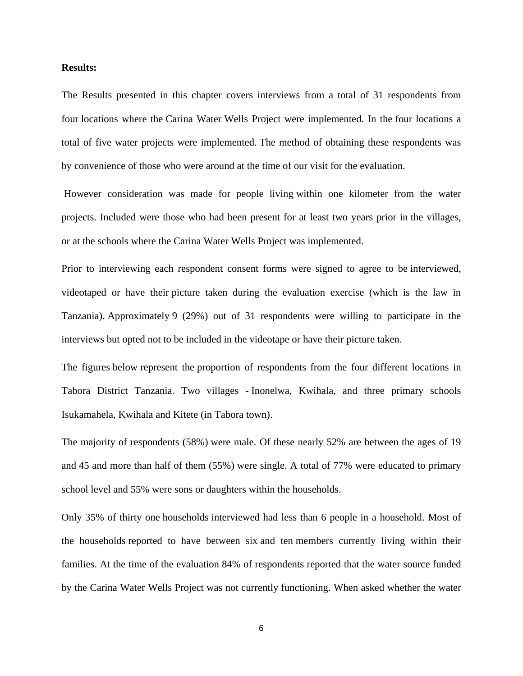#### **Results:**

The Results presented in this chapter covers interviews from a total of 31 respondents from four locations where the Carina Water Wells Project were implemented. In the four locations a total of five water projects were implemented. The method of obtaining these respondents was by convenience of those who were around at the time of our visit for the evaluation.

However consideration was made for people living within one kilometer from the water projects. Included were those who had been present for at least two years prior in the villages, or at the schools where the Carina Water Wells Project was implemented.

Prior to interviewing each respondent consent forms were signed to agree to be interviewed, videotaped or have their picture taken during the evaluation exercise (which is the law in Tanzania). Approximately 9 (29%) out of 31 respondents were willing to participate in the interviews but opted not to be included in the videotape or have their picture taken.

The figures below represent the proportion of respondents from the four different locations in Tabora District Tanzania. Two villages - Inonelwa, Kwihala, and three primary schools Isukamahela, Kwihala and Kitete (in Tabora town).

The majority of respondents (58%) were male. Of these nearly 52% are between the ages of 19 and 45 and more than half of them (55%) were single. A total of 77% were educated to primary school level and 55% were sons or daughters within the households.

Only 35% of thirty one households interviewed had less than 6 people in a household. Most of the households reported to have between six and ten members currently living within their families. At the time of the evaluation 84% of respondents reported that the water source funded by the Carina Water Wells Project was not currently functioning. When asked whether the water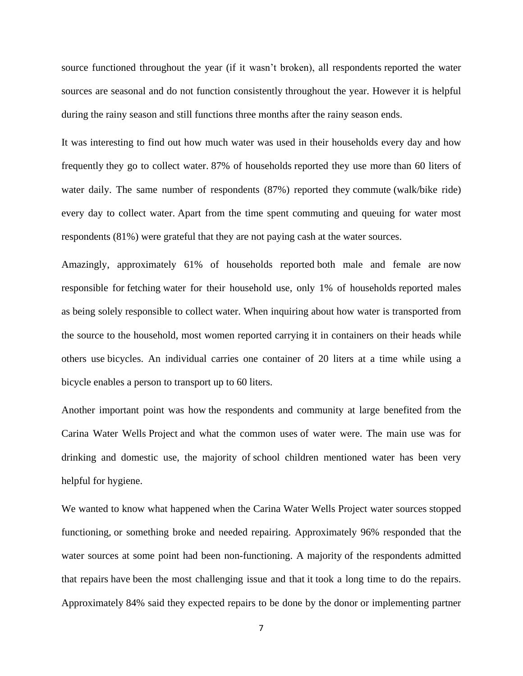source functioned throughout the year (if it wasn't broken), all respondents reported the water sources are seasonal and do not function consistently throughout the year. However it is helpful during the rainy season and still functions three months after the rainy season ends.

It was interesting to find out how much water was used in their households every day and how frequently they go to collect water. 87% of households reported they use more than 60 liters of water daily. The same number of respondents (87%) reported they commute (walk/bike ride) every day to collect water. Apart from the time spent commuting and queuing for water most respondents (81%) were grateful that they are not paying cash at the water sources.

Amazingly, approximately 61% of households reported both male and female are now responsible for fetching water for their household use, only 1% of households reported males as being solely responsible to collect water. When inquiring about how water is transported from the source to the household, most women reported carrying it in containers on their heads while others use bicycles. An individual carries one container of 20 liters at a time while using a bicycle enables a person to transport up to 60 liters.

Another important point was how the respondents and community at large benefited from the Carina Water Wells Project and what the common uses of water were. The main use was for drinking and domestic use, the majority of school children mentioned water has been very helpful for hygiene.

We wanted to know what happened when the Carina Water Wells Project water sources stopped functioning, or something broke and needed repairing. Approximately 96% responded that the water sources at some point had been non-functioning. A majority of the respondents admitted that repairs have been the most challenging issue and that it took a long time to do the repairs. Approximately 84% said they expected repairs to be done by the donor or implementing partner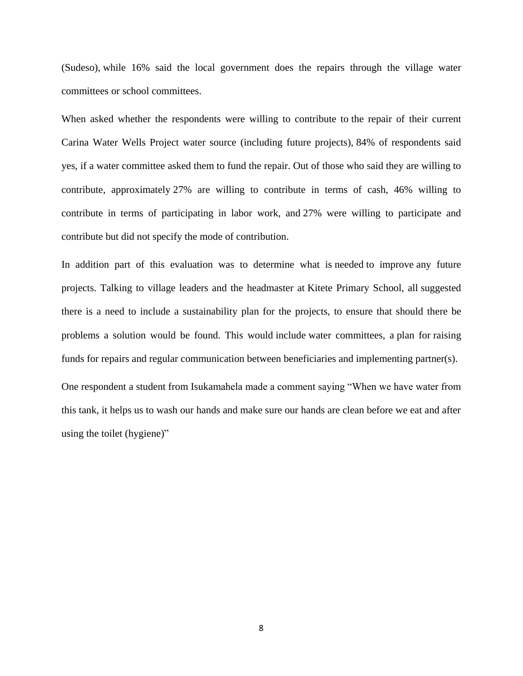(Sudeso), while 16% said the local government does the repairs through the village water committees or school committees.

When asked whether the respondents were willing to contribute to the repair of their current Carina Water Wells Project water source (including future projects), 84% of respondents said yes, if a water committee asked them to fund the repair. Out of those who said they are willing to contribute, approximately 27% are willing to contribute in terms of cash, 46% willing to contribute in terms of participating in labor work, and 27% were willing to participate and contribute but did not specify the mode of contribution.

In addition part of this evaluation was to determine what is needed to improve any future projects. Talking to village leaders and the headmaster at Kitete Primary School, all suggested there is a need to include a sustainability plan for the projects, to ensure that should there be problems a solution would be found. This would include water committees, a plan for raising funds for repairs and regular communication between beneficiaries and implementing partner(s).

One respondent a student from Isukamahela made a comment saying "When we have water from this tank, it helps us to wash our hands and make sure our hands are clean before we eat and after using the toilet (hygiene)"

8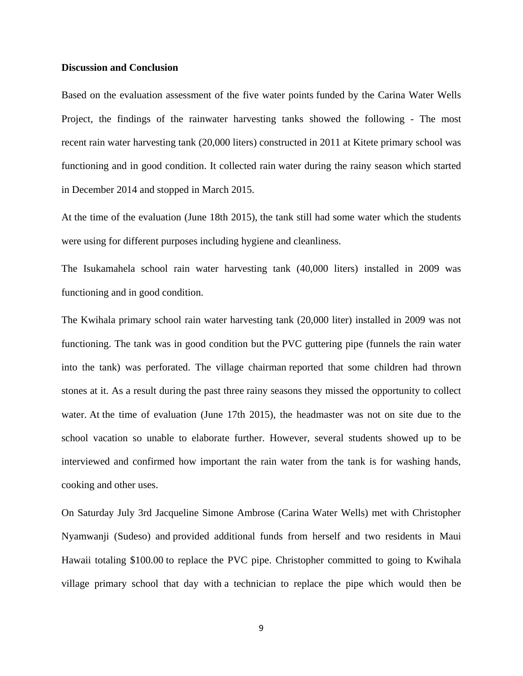#### **Discussion and Conclusion**

Based on the evaluation assessment of the five water points funded by the Carina Water Wells Project, the findings of the rainwater harvesting tanks showed the following - The most recent rain water harvesting tank (20,000 liters) constructed in 2011 at Kitete primary school was functioning and in good condition. It collected rain water during the rainy season which started in December 2014 and stopped in March 2015.

At the time of the evaluation (June 18th 2015), the tank still had some water which the students were using for different purposes including hygiene and cleanliness.

The Isukamahela school rain water harvesting tank (40,000 liters) installed in 2009 was functioning and in good condition.

The Kwihala primary school rain water harvesting tank (20,000 liter) installed in 2009 was not functioning. The tank was in good condition but the PVC guttering pipe (funnels the rain water into the tank) was perforated. The village chairman reported that some children had thrown stones at it. As a result during the past three rainy seasons they missed the opportunity to collect water. At the time of evaluation (June 17th 2015), the headmaster was not on site due to the school vacation so unable to elaborate further. However, several students showed up to be interviewed and confirmed how important the rain water from the tank is for washing hands, cooking and other uses.

On Saturday July 3rd Jacqueline Simone Ambrose (Carina Water Wells) met with Christopher Nyamwanji (Sudeso) and provided additional funds from herself and two residents in Maui Hawaii totaling \$100.00 to replace the PVC pipe. Christopher committed to going to Kwihala village primary school that day with a technician to replace the pipe which would then be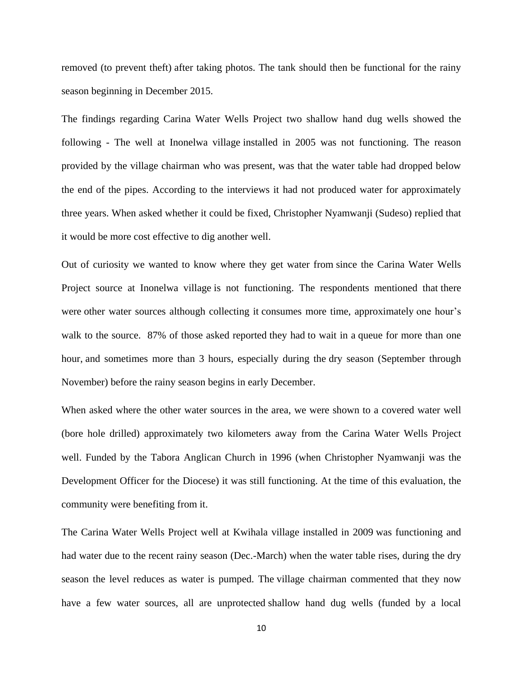removed (to prevent theft) after taking photos. The tank should then be functional for the rainy season beginning in December 2015.

The findings regarding Carina Water Wells Project two shallow hand dug wells showed the following - The well at Inonelwa village installed in 2005 was not functioning. The reason provided by the village chairman who was present, was that the water table had dropped below the end of the pipes. According to the interviews it had not produced water for approximately three years. When asked whether it could be fixed, Christopher Nyamwanji (Sudeso) replied that it would be more cost effective to dig another well.

Out of curiosity we wanted to know where they get water from since the Carina Water Wells Project source at Inonelwa village is not functioning. The respondents mentioned that there were other water sources although collecting it consumes more time, approximately one hour's walk to the source. 87% of those asked reported they had to wait in a queue for more than one hour, and sometimes more than 3 hours, especially during the dry season (September through November) before the rainy season begins in early December.

When asked where the other water sources in the area, we were shown to a covered water well (bore hole drilled) approximately two kilometers away from the Carina Water Wells Project well. Funded by the Tabora Anglican Church in 1996 (when Christopher Nyamwanji was the Development Officer for the Diocese) it was still functioning. At the time of this evaluation, the community were benefiting from it.

The Carina Water Wells Project well at Kwihala village installed in 2009 was functioning and had water due to the recent rainy season (Dec.-March) when the water table rises, during the dry season the level reduces as water is pumped. The village chairman commented that they now have a few water sources, all are unprotected shallow hand dug wells (funded by a local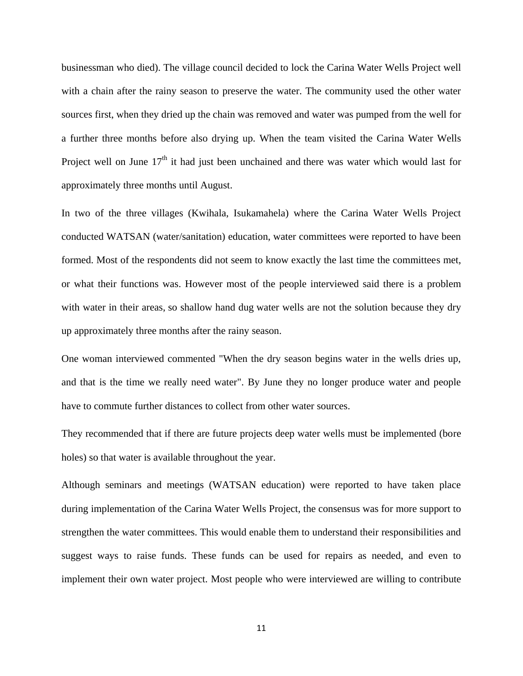businessman who died). The village council decided to lock the Carina Water Wells Project well with a chain after the rainy season to preserve the water. The community used the other water sources first, when they dried up the chain was removed and water was pumped from the well for a further three months before also drying up. When the team visited the Carina Water Wells Project well on June  $17<sup>th</sup>$  it had just been unchained and there was water which would last for approximately three months until August.

In two of the three villages (Kwihala, Isukamahela) where the Carina Water Wells Project conducted WATSAN (water/sanitation) education, water committees were reported to have been formed. Most of the respondents did not seem to know exactly the last time the committees met, or what their functions was. However most of the people interviewed said there is a problem with water in their areas, so shallow hand dug water wells are not the solution because they dry up approximately three months after the rainy season.

One woman interviewed commented "When the dry season begins water in the wells dries up, and that is the time we really need water". By June they no longer produce water and people have to commute further distances to collect from other water sources.

They recommended that if there are future projects deep water wells must be implemented (bore holes) so that water is available throughout the year.

Although seminars and meetings (WATSAN education) were reported to have taken place during implementation of the Carina Water Wells Project, the consensus was for more support to strengthen the water committees. This would enable them to understand their responsibilities and suggest ways to raise funds. These funds can be used for repairs as needed, and even to implement their own water project. Most people who were interviewed are willing to contribute